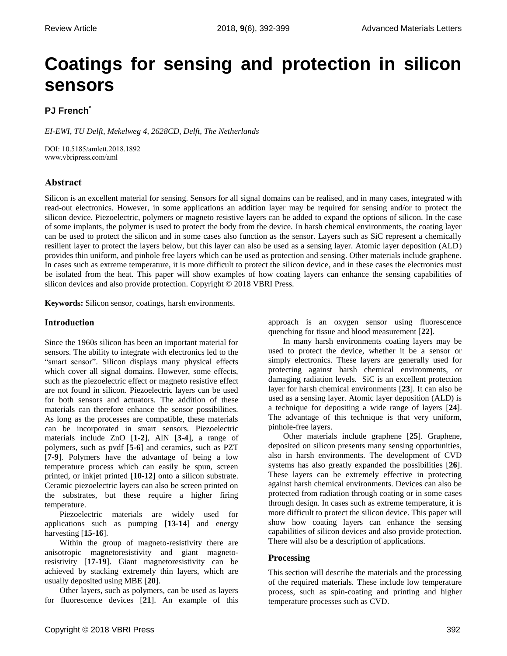# **Coatings for sensing and protection in silicon sensors**

# **PJ French\***

*EI-EWI, TU Delft, Mekelweg 4, 2628CD, Delft, The Netherlands*

DOI: 10.5185/amlett.2018.1892 www.vbripress.com/aml

# **Abstract**

Silicon is an excellent material for sensing. Sensors for all signal domains can be realised, and in many cases, integrated with read-out electronics. However, in some applications an addition layer may be required for sensing and/or to protect the silicon device. Piezoelectric, polymers or magneto resistive layers can be added to expand the options of silicon. In the case of some implants, the polymer is used to protect the body from the device. In harsh chemical environments, the coating layer can be used to protect the silicon and in some cases also function as the sensor. Layers such as SiC represent a chemically resilient layer to protect the layers below, but this layer can also be used as a sensing layer. Atomic layer deposition (ALD) provides thin uniform, and pinhole free layers which can be used as protection and sensing. Other materials include graphene. In cases such as extreme temperature, it is more difficult to protect the silicon device, and in these cases the electronics must be isolated from the heat. This paper will show examples of how coating layers can enhance the sensing capabilities of silicon devices and also provide protection. Copyright © 2018 VBRI Press.

**Keywords:** Silicon sensor, coatings, harsh environments.

# **Introduction**

Since the 1960s silicon has been an important material for sensors. The ability to integrate with electronics led to the "smart sensor". Silicon displays many physical effects which cover all signal domains. However, some effects, such as the piezoelectric effect or magneto resistive effect are not found in silicon. Piezoelectric layers can be used for both sensors and actuators. The addition of these materials can therefore enhance the sensor possibilities. As long as the processes are compatible, these materials can be incorporated in smart sensors. Piezoelectric materials include ZnO [**1-2**], AlN [**3-4**], a range of polymers, such as pvdf [**5-6**] and ceramics, such as PZT [**7-9**]. Polymers have the advantage of being a low temperature process which can easily be spun, screen printed, or inkjet printed [**10-12**] onto a silicon substrate. Ceramic piezoelectric layers can also be screen printed on the substrates, but these require a higher firing temperature.

Piezoelectric materials are widely used for applications such as pumping [**13-14**] and energy harvesting [**15-16**].

Within the group of magneto-resistivity there are anisotropic magnetoresistivity and giant magnetoresistivity [**17-19**]. Giant magnetoresistivity can be achieved by stacking extremely thin layers, which are usually deposited using MBE [**20**].

Other layers, such as polymers, can be used as layers for fluorescence devices [**21**]. An example of this approach is an oxygen sensor using fluorescence quenching for tissue and blood measurement [**22**].

In many harsh environments coating layers may be used to protect the device, whether it be a sensor or simply electronics. These layers are generally used for protecting against harsh chemical environments, or damaging radiation levels. SiC is an excellent protection layer for harsh chemical environments [**23**]. It can also be used as a sensing layer. Atomic layer deposition (ALD) is a technique for depositing a wide range of layers [**24**]. The advantage of this technique is that very uniform, pinhole-free layers.

Other materials include graphene [**25**]. Graphene, deposited on silicon presents many sensing opportunities, also in harsh environments. The development of CVD systems has also greatly expanded the possibilities [**26**]. These layers can be extremely effective in protecting against harsh chemical environments. Devices can also be protected from radiation through coating or in some cases through design. In cases such as extreme temperature, it is more difficult to protect the silicon device. This paper will show how coating layers can enhance the sensing capabilities of silicon devices and also provide protection. There will also be a description of applications.

# **Processing**

This section will describe the materials and the processing of the required materials. These include low temperature process, such as spin-coating and printing and higher temperature processes such as CVD.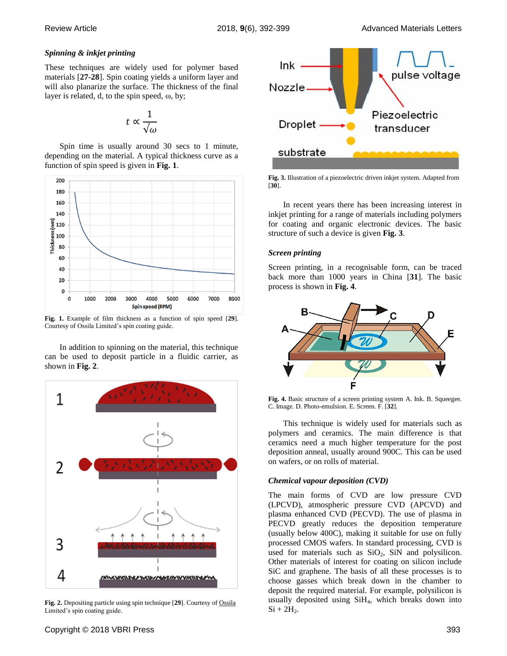## *Spinning & inkjet printing*

These techniques are widely used for polymer based materials [**27-28**]. Spin coating yields a uniform layer and will also planarize the surface. The thickness of the final layer is related, d, to the spin speed, ω, by;

$$
t \propto \frac{1}{\sqrt{\omega}}
$$

Spin time is usually around 30 secs to 1 minute, depending on the material. A typical thickness curve as a function of spin speed is given in **[Fig.](#page-1-0) 1**.



<span id="page-1-0"></span>**Fig. 1.** Example of film thickness as a function of spin speed [**29**]. Courtesy of Ossila Limited's spin coating guide.

In addition to spinning on the material, this technique can be used to deposit particle in a fluidic carrier, as shown in **[Fig.](#page-1-1) 2**.



<span id="page-1-1"></span>**Fig. 2.** Depositing particle using spin technique [**29**]. Courtesy of Ossila Limited's spin coating guide.



<span id="page-1-2"></span>**Fig. 3.** Illustration of a piezoelectric driven inkjet system. Adapted from [**30**].

In recent years there has been increasing interest in inkjet printing for a range of materials including polymers for coating and organic electronic devices. The basic structure of such a device is given **[Fig. 3](#page-1-2)**.

## *Screen printing*

Screen printing, in a recognisable form, can be traced back more than 1000 years in China [**31**]. The basic process is shown in **[Fig.](#page-1-3) 4**.



<span id="page-1-3"></span>**Fig. 4.** Basic structure of a screen printing system A. Ink. B. Squeegee. C. Image. D. Photo-emulsion. E. Screen. F. [**32**].

This technique is widely used for materials such as polymers and ceramics. The main difference is that ceramics need a much higher temperature for the post deposition anneal, usually around 900C. This can be used on wafers, or on rolls of material.

# *Chemical vapour deposition (CVD)*

The main forms of CVD are low pressure CVD (LPCVD), atmospheric pressure CVD (APCVD) and plasma enhanced CVD (PECVD). The use of plasma in PECVD greatly reduces the deposition temperature (usually below 400C), making it suitable for use on fully processed CMOS wafers. In standard processing, CVD is used for materials such as  $SiO<sub>2</sub>$ ,  $SiN$  and polysilicon. Other materials of interest for coating on silicon include SiC and graphene. The basis of all these processes is to choose gasses which break down in the chamber to deposit the required material. For example, polysilicon is usually deposited using SiH4, which breaks down into  $Si + 2H<sub>2</sub>$ .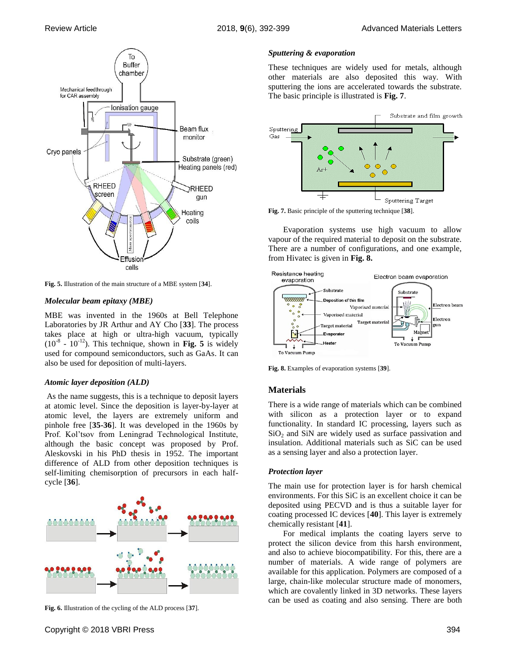

<span id="page-2-0"></span>**Fig. 5.** Illustration of the main structure of a MBE system [**34**].

# *Molecular beam epitaxy (MBE)*

MBE was invented in the 1960s at Bell Telephone Laboratories by JR Arthur and AY Cho [**33**]. The process takes place at high or ultra-high vacuum, typically  $(10^{-8} - 10^{-12})$ . This technique, shown in **[Fig. 5](#page-2-0)** is widely used for compound semiconductors, such as GaAs. It can also be used for deposition of multi-layers.

# *Atomic layer deposition (ALD)*

As the name suggests, this is a technique to deposit layers at atomic level. Since the deposition is layer-by-layer at atomic level, the layers are extremely uniform and pinhole free [**35-36**]. It was developed in the 1960s by Prof. Kol'tsov from Leningrad Technological Institute, although the basic concept was proposed by Prof. Aleskovski in his PhD thesis in 1952. The important difference of ALD from other deposition techniques is self-limiting chemisorption of precursors in each halfcycle [**36**].



**Fig. 6.** Illustration of the cycling of the ALD process [**37**].

# *Sputtering & evaporation*

These techniques are widely used for metals, although other materials are also deposited this way. With sputtering the ions are accelerated towards the substrate. The basic principle is illustrated is **[Fig.](#page-2-1) 7**.



<span id="page-2-1"></span>**Fig. 7.** Basic principle of the sputtering technique [**38**].

Evaporation systems use high vacuum to allow vapour of the required material to deposit on the substrate. There are a number of configurations, and one example, from Hivatec is given in **[Fig. 8.](#page-2-2)**



<span id="page-2-2"></span>**Fig. 8.** Examples of evaporation systems [**39**].

# **Materials**

There is a wide range of materials which can be combined with silicon as a protection layer or to expand functionality. In standard IC processing, layers such as  $SiO<sub>2</sub>$  and  $SiN$  are widely used as surface passivation and insulation. Additional materials such as SiC can be used as a sensing layer and also a protection layer.

# *Protection layer*

The main use for protection layer is for harsh chemical environments. For this SiC is an excellent choice it can be deposited using PECVD and is thus a suitable layer for coating processed IC devices [**40**]. This layer is extremely chemically resistant [**41**].

For medical implants the coating layers serve to protect the silicon device from this harsh environment, and also to achieve biocompatibility. For this, there are a number of materials. A wide range of polymers are available for this application. Polymers are composed of a large, chain-like molecular structure made of monomers, which are covalently linked in 3D networks. These layers can be used as coating and also sensing. There are both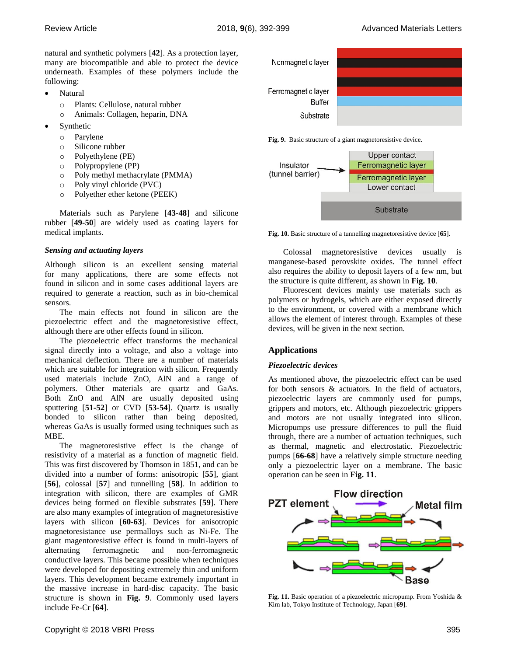natural and synthetic polymers [**42**]. As a protection layer, many are biocompatible and able to protect the device underneath. Examples of these polymers include the following:

- Natural
	- o Plants: Cellulose, natural rubber
	- o Animals: Collagen, heparin, DNA
- Synthetic
	- o Parylene
	- o Silicone rubber
	- o Polyethylene (PE)
	- o Polypropylene (PP)
	- o Poly methyl methacrylate (PMMA)
	- o Poly vinyl chloride (PVC)
	- o Polyether ether ketone (PEEK)

Materials such as Parylene [**43-48**] and silicone rubber [**49-50**] are widely used as coating layers for medical implants.

## *Sensing and actuating layers*

Although silicon is an excellent sensing material for many applications, there are some effects not found in silicon and in some cases additional layers are required to generate a reaction, such as in bio-chemical sensors.

The main effects not found in silicon are the piezoelectric effect and the magnetoresistive effect, although there are other effects found in silicon.

The piezoelectric effect transforms the mechanical signal directly into a voltage, and also a voltage into mechanical deflection. There are a number of materials which are suitable for integration with silicon. Frequently used materials include ZnO, AlN and a range of polymers. Other materials are quartz and GaAs. Both ZnO and AlN are usually deposited using sputtering [**51-52**] or CVD [**53-54**]. Quartz is usually bonded to silicon rather than being deposited, whereas GaAs is usually formed using techniques such as MBE.

The magnetoresistive effect is the change of resistivity of a material as a function of magnetic field. This was first discovered by Thomson in 1851, and can be divided into a number of forms: anisotropic [**55**], giant [**56**], colossal [**57**] and tunnelling [**58**]. In addition to integration with silicon, there are examples of GMR devices being formed on flexible substrates [**59**]. There are also many examples of integration of magnetoresistive layers with silicon [**60-63**]. Devices for anisotropic magnetoresistance use permalloys such as Ni-Fe. The giant magentoresistive effect is found in multi-layers of alternating ferromagnetic and non-ferromagnetic conductive layers. This became possible when techniques were developed for depositing extremely thin and uniform layers. This development became extremely important in the massive increase in hard-disc capacity. The basic structure is shown in **[Fig. 9](#page-3-0)**. Commonly used layers include Fe-Cr [**64**].



<span id="page-3-0"></span>**Fig. 9.** Basic structure of a giant magnetoresistive device.



<span id="page-3-1"></span>**Fig. 10.** Basic structure of a tunnelling magnetoresistive device [**65**].

Colossal magnetoresistive devices usually is manganese-based perovskite oxides. The tunnel effect also requires the ability to deposit layers of a few nm, but the structure is quite different, as shown in **[Fig. 10](#page-3-1)**.

Fluorescent devices mainly use materials such as polymers or hydrogels, which are either exposed directly to the environment, or covered with a membrane which allows the element of interest through. Examples of these devices, will be given in the next section.

# **Applications**

## *Piezoelectric devices*

As mentioned above, the piezoelectric effect can be used for both sensors & actuators. In the field of actuators, piezoelectric layers are commonly used for pumps, grippers and motors, etc. Although piezoelectric grippers and motors are not usually integrated into silicon. Micropumps use pressure differences to pull the fluid through, there are a number of actuation techniques, such as thermal, magnetic and electrostatic. Piezoelectric pumps [**66-68**] have a relatively simple structure needing only a piezoelectric layer on a membrane. The basic operation can be seen in **[Fig.](#page-3-2) 11**.



<span id="page-3-2"></span>**Fig. 11.** Basic operation of a piezoelectric micropump. From Yoshida & Kim lab, Tokyo Institute of Technology, Japan [**69**].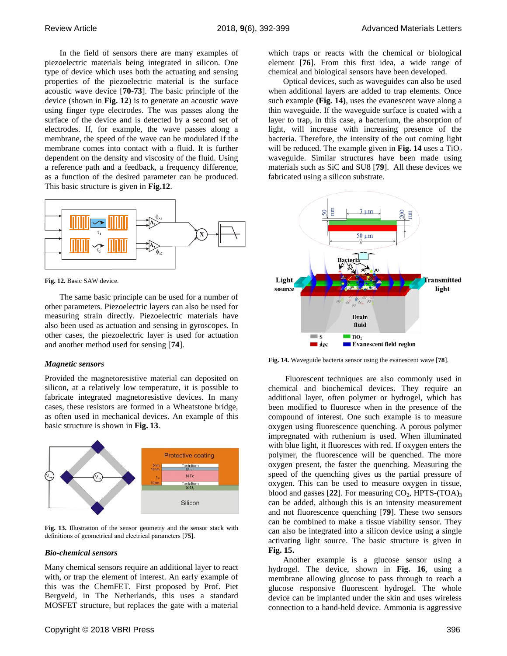In the field of sensors there are many examples of piezoelectric materials being integrated in silicon. One type of device which uses both the actuating and sensing properties of the piezoelectric material is the surface acoustic wave device [**70-73**]. The basic principle of the device (shown in **Fig. 12**) is to generate an acoustic wave using finger type electrodes. The was passes along the surface of the device and is detected by a second set of electrodes. If, for example, the wave passes along a membrane, the speed of the wave can be modulated if the membrane comes into contact with a fluid. It is further dependent on the density and viscosity of the fluid. Using a reference path and a feedback, a frequency difference, as a function of the desired parameter can be produced. This basic structure is given in **Fig.12**.



**Fig. 12.** Basic SAW device.

The same basic principle can be used for a number of other parameters. Piezoelectric layers can also be used for measuring strain directly. Piezoelectric materials have also been used as actuation and sensing in gyroscopes. In other cases, the piezoelectric layer is used for actuation and another method used for sensing [**74**].

## *Magnetic sensors*

Provided the magnetoresistive material can deposited on silicon, at a relatively low temperature, it is possible to fabricate integrated magnetoresistive devices. In many cases, these resistors are formed in a Wheatstone bridge, as often used in mechanical devices. An example of this basic structure is shown in **[Fig.](#page-4-0) 13**.



<span id="page-4-0"></span>**Fig. 13.** Illustration of the sensor geometry and the sensor stack with definitions of geometrical and electrical parameters [**75**].

#### *Bio-chemical sensors*

Many chemical sensors require an additional layer to react with, or trap the element of interest. An early example of this was the ChemFET. First proposed by Prof. Piet Bergveld, in The Netherlands, this uses a standard MOSFET structure, but replaces the gate with a material

which traps or reacts with the chemical or biological element [**76**]. From this first idea, a wide range of chemical and biological sensors have been developed.

Optical devices, such as waveguides can also be used when additional layers are added to trap elements. Once such example **[\(Fig. 14\)](#page-4-1)**, uses the evanescent wave along a thin waveguide. If the waveguide surface is coated with a layer to trap, in this case, a bacterium, the absorption of light, will increase with increasing presence of the bacteria. Therefore, the intensity of the out coming light will be reduced. The example given in **[Fig. 14](#page-4-1)** uses a  $TiO<sub>2</sub>$ waveguide. Similar structures have been made using materials such as SiC and SU8 [**79**]. All these devices we fabricated using a silicon substrate.



<span id="page-4-1"></span>**Fig. 14.** Waveguide bacteria sensor using the evanescent wave [**78**].

Fluorescent techniques are also commonly used in chemical and biochemical devices. They require an additional layer, often polymer or hydrogel, which has been modified to fluoresce when in the presence of the compound of interest. One such example is to measure oxygen using fluorescence quenching. A porous polymer impregnated with ruthenium is used. When illuminated with blue light, it fluoresces with red. If oxygen enters the polymer, the fluorescence will be quenched. The more oxygen present, the faster the quenching. Measuring the speed of the quenching gives us the partial pressure of oxygen. This can be used to measure oxygen in tissue, blood and gasses  $[22]$ . For measuring  $CO<sub>2</sub>$ , HPTS-(TOA)<sub>3</sub> can be added, although this is an intensity measurement and not fluorescence quenching [**79**]. These two sensors can be combined to make a tissue viability sensor. They can also be integrated into a silicon device using a single activating light source. The basic structure is given in **[Fig.](#page-5-0) 15.**

Another example is a glucose sensor using a hydrogel. The device, shown in **[Fig.](#page-5-1) 16**, using a membrane allowing glucose to pass through to reach a glucose responsive fluorescent hydrogel. The whole device can be implanted under the skin and uses wireless connection to a hand-held device. Ammonia is aggressive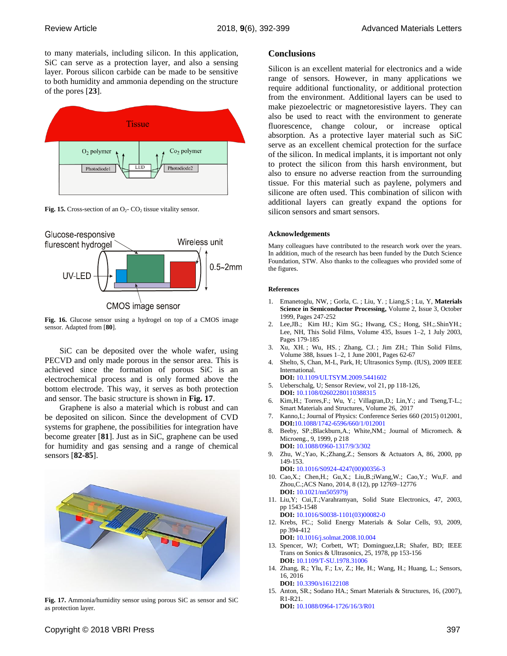to many materials, including silicon. In this application, SiC can serve as a protection layer, and also a sensing layer. Porous silicon carbide can be made to be sensitive to both humidity and ammonia depending on the structure of the pores [**23**].



<span id="page-5-0"></span>**Fig. 15.** Cross-section of an  $O_2$ -  $CO_2$  tissue vitality sensor.



<span id="page-5-1"></span>**Fig. 16.** Glucose sensor using a hydrogel on top of a CMOS image sensor. Adapted from [**80**].

SiC can be deposited over the whole wafer, using PECVD and only made porous in the sensor area. This is achieved since the formation of porous SiC is an electrochemical process and is only formed above the bottom electrode. This way, it serves as both protection and sensor. The basic structure is shown in **[Fig. 17](#page-5-2)**.

Graphene is also a material which is robust and can be deposited on silicon. Since the development of CVD systems for graphene, the possibilities for integration have become greater [**81**]. Just as in SiC, graphene can be used for humidity and gas sensing and a range of chemical sensors [**82-85**].



<span id="page-5-2"></span>**Fig. 17.** Ammonia/humidity sensor using porous SiC as sensor and SiC as protection layer.

## **Conclusions**

Silicon is an excellent material for electronics and a wide range of sensors. However, in many applications we require additional functionality, or additional protection from the environment. Additional layers can be used to make piezoelectric or magnetoresistive layers. They can also be used to react with the environment to generate fluorescence, change colour, or increase optical absorption. As a protective layer material such as SiC serve as an excellent chemical protection for the surface of the silicon. In medical implants, it is important not only to protect the silicon from this harsh environment, but also to ensure no adverse reaction from the surrounding tissue. For this material such as paylene, polymers and silicone are often used. This combination of silicon with additional layers can greatly expand the options for silicon sensors and smart sensors.

#### **Acknowledgements**

Many colleagues have contributed to the research work over the years. In addition, much of the research has been funded by the Dutch Science Foundation, STW. Also thanks to the colleagues who provided some of the figures.

#### **References**

- 1. Emanetoglu, NW, ; Gorla, C. ; Liu, Y. ; Liang,S ; Lu, Y, **[Materials](http://www.sciencedirect.com/science/journal/13698001)  [Science in Semiconductor Processing,](http://www.sciencedirect.com/science/journal/13698001)** [Volume 2, Issue 3,](http://www.sciencedirect.com/science/journal/13698001/2/3) October 1999, Pages 247-252
- 2. Lee,JB.; Kim HJ.; Kim SG.; Hwang, CS.; Hong, SH.;.ShinYH.; Lee, NH, This Solid Films, [Volume 435, Issues 1–2,](http://www.sciencedirect.com/science/journal/00406090/435/1) 1 July 2003, Pages 179-185
- 3. Xu, XH. ; Wu, HS. ; Zhang, CJ. ; Jim ZH.; Thin Solid Films, [Volume 388, Issues 1–2,](http://www.sciencedirect.com/science/journal/00406090/388/1) 1 June 2001, Pages 62-67
- 4. Shelto, S, Chan, M-L, Park, H[; Ultrasonics Symp.](http://ieeexplore.ieee.org/xpl/mostRecentIssue.jsp?punumber=5430769) (IUS), 2009 IEEE [International.](http://ieeexplore.ieee.org/xpl/mostRecentIssue.jsp?punumber=5430769)
	- **DOI:** [10.1109/ULTSYM.2009.5441602](https://doi.org/10.1109/ULTSYM.2009.5441602)
- 5. Ueberschalg, U; Sensor Review, vol 21, pp 118-126, **DOI:** [10.1108/02602280110388315](https://doi.org/10.1108/02602280110388315)
- 6. Kim,H.; Torres,F.; Wu, Y.; Villagran,D.; Lin,Y.; and Tseng,T-L.; [Smart Materials and Structures,](http://iopscience.iop.org/journal/0964-1726) [Volume 26,](http://iopscience.iop.org/volume/0964-1726/26) 2017
- 7. Kanno,I.; Journal of Physics: Conference Series 660 (2015) 012001, **DOI:**10.1088/1742-6596/660/1/012001
- 8. [Beeby,](https://scholar.google.nl/citations?user=n3Gc7sMAAAAJ&hl=nl&oi=sra) SP.;Blackburn,A.; [White,](https://scholar.google.nl/citations?user=-KqNHGQAAAAJ&hl=nl&oi=sra)NM.; Journal of Micromech. & Microeng., 9, 1999, p 218 **DOI:** [10.1088/0960-1317/9/3/302](https://doi.org/10.1088/0960-1317/9/3/302)
- 9. Zhu, W.;Yao, K.;Zhang,Z.; Sensors & Actuators A, 86, 2000, pp 149-153.
	- **DOI:** [10.1016/S0924-4247\(00\)00356-3](https://doi.org/10.1016/S0924-4247%2800%2900356-3)
- 10. Cao,X.; Chen,H.; Gu,X.; Liu,B.;iWang,W.; Cao,Y.; Wu,F. and Zhou,C.;ACS Nano, 2014, 8 (12), pp 12769–12776 **DOI:** 10.1021/nn505979j
- 11. Liu,Y; Cui,T.;Varahramyan, Solid State Electronics, 47, 2003, pp 1543-1548 **DOI:** [10.1016/S0038-1101\(03\)00082-0](https://doi.org/10.1016/S0038-1101%2803%2900082-0)
- 12. Krebs, FC.; Solid Energy Materials & Solar Cells, 93, 2009, pp 394-412 **DOI:** [10.1016/j.solmat.2008.10.004](https://doi.org/10.1016/j.solmat.2008.10.004)
- 13. Spencer, WJ; Corbett, WT; Dominguez,LR; Shafer, BD; IEEE Trans on Sonics & Ultrasonics, 25, 1978, pp 153-156 **DOI:** [10.1109/T-SU.1978.31006](https://doi.org/10.1109/T-SU.1978.31006)
- 14. Zhang, R.; Ylu, F.; Lv, Z.; He, H.; Wang, H.; Huang, L.; Sensors, 16, 2016
- **DOI:** [10.3390/s16122108](http://dx.doi.org/10.3390/s16122108) 15. Anton, SR.; Sodano HA.; Smart Materials & Structures, 16, (2007), R1-R21.

**DOI:** [10.1088/0964-1726/16/3/R01](http://dx.doi.org/10.1088/0964-1726/16/3/R01)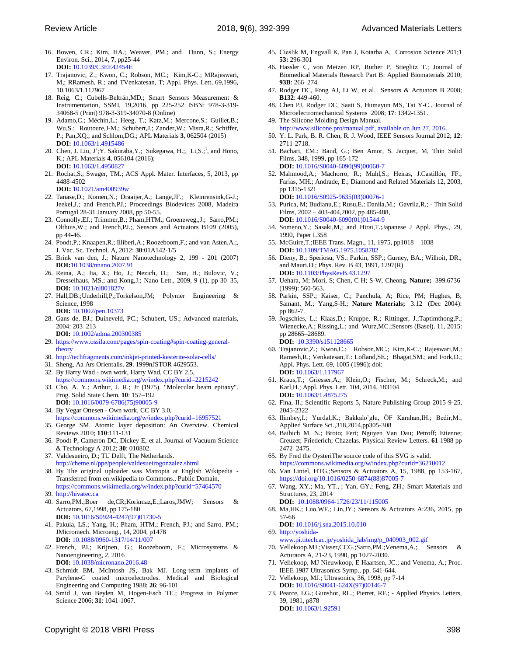- 16. Bowen, CR.; Kim, HA.; Weaver, PM.; and Dunn, S.; [Energy](https://doi.org/10.1039/1754-5706/2008)  [Environ. Sci.,](https://doi.org/10.1039/1754-5706/2008) 2014, **7**, pp25-44 **DOI:** [10.1039/C3EE42454E](https://doi.org/10.1039/C3EE42454E)
- 17. [Trajanovic,](http://aip.scitation.org/author/Trajanovic%2C+Z) Z.; [Kwon,](http://aip.scitation.org/author/Kwon%2C+C) C.; [Robson,](http://aip.scitation.org/author/Robson%2C+M+C) MC.; [Kim,](http://aip.scitation.org/author/Kim%2C+K-C)K-C.; [MRajeswari,](http://aip.scitation.org/author/Rajeswari%2C+M) M,; [RRamesh,](http://aip.scitation.org/author/Ramesh%2C+R) R.; and [TVenkatesan,](http://aip.scitation.org/author/Venkatesan%2C+T) T; Appl. Phys. Lett, 69,1996, 10.1063/1.117967
- 18. Reig, C.; Cubells-Beltrán,MD.; Smart Sensors Measurement & Instrumentation, SSMI, 19,2016, pp 225-252 ISBN: 978-3-319- 34068-5 (Print) 978-3-319-34070-8 (Online)
- 19. [Adamo,C](http://aip.scitation.org/author/Adamo%2C+C).; [Méchin,](http://aip.scitation.org/author/M%C3%A9chin%2C+L)L.; [Heeg,](http://aip.scitation.org/author/Heeg%2C+T) T.; [Katz,](http://aip.scitation.org/author/Katz%2C+M)M.; [Mercone,](http://aip.scitation.org/author/Mercone%2C+S)S.; [Guillet,B](http://aip.scitation.org/author/Guillet%2C+B).; [Wu,S](http://aip.scitation.org/author/Wu%2C+S).; [Routoure,J](http://aip.scitation.org/author/Routoure%2C+J-M)-M.; [Schubert,](http://aip.scitation.org/author/Schubert%2C+J)J.; [Zander,W](http://aip.scitation.org/author/Zander%2C+W).; [Misra,R](http://aip.scitation.org/author/Misra%2C+R).; [Schiffer,](http://aip.scitation.org/author/Schiffer%2C+P) P.; [Pan,](http://aip.scitation.org/author/Pan%2C+X+Q)XQ.; an[d Schlom,D](http://aip.scitation.org/author/Schlom%2C+D+G)G.; APL Materials **3**, 062504 (2015) **DOI:** [10.1063/1.4915486](http://dx.doi.org/10.1063/1.4915486)
- 20. [Chen,](http://aip.scitation.org/author/Chen%2C+Jiamin) J. [Liu,](http://aip.scitation.org/author/Liu%2C+J) J'; Y. Sakuraba, Y.; [Sukegawa,](http://aip.scitation.org/author/Sukegawa%2C+H) H.;[, Li,](http://aip.scitation.org/author/Li%2C+S) S.;<sup>1</sup>, an[d Hono,](http://aip.scitation.org/author/Hono%2C+K) K.; APL Materials **4**, 056104 (2016); **DOI:** [10.1063/1.4950827](http://dx.doi.org/10.1063/1.4950827)
- 21. Rochat,S.; Swager, TM.; ACS Appl. Mater. Interfaces, 5, 2013, pp 4488-4502

**DOI:** 10.1021/am400939w

- 22. Tanase,D.; Komen,N.; Draaijer,A.; Lange,JF.; Kleinrensink,G-J.; Jeekel,J.; and French,PJ.; Proceedings Biodevices 2008, Madeira Portugal 28-31 January 2008, pp 50-55.
- 23. Connolly,EJ.; Trimmer,B.; Pham,HTM.; Groeneweg,,J.; Sarro,PM.; Olthuis,W.; and French,PJ.;, Sensors and Actuators B109 (2005), pp 44-46.
- 24. Poodt,P.; Knaapen,R.; Illiberi,A.; Roozeboom,F.; and van Asten,A.;, J. Vac. Sc. Technol. A, 2012; **30**:01A142-1/5
- 25. Brink van den, J.; Nature Nanotechnology 2, 199 201 (2007) **DOI:**10.1038/nnano.2007.91
- 26. [Reina,](http://pubs.acs.org/author/Reina%2C+Alfonso) A.; [Jia,](http://pubs.acs.org/author/Jia%2C+Xiaoting) X.; [Ho,](http://pubs.acs.org/author/Ho%2C+John) J.; [Nezich,](http://pubs.acs.org/author/Nezich%2C+Daniel) D.; [Son,](http://pubs.acs.org/author/Son%2C+Hyungbin) H.; [Bulovic,](http://pubs.acs.org/author/Bulovic%2C+Vladimir) V.; [Dresselhaus,](http://pubs.acs.org/author/Dresselhaus%2C+Mildred+S) MS.; and [Kong,J](http://pubs.acs.org/author/Kong%2C+Jing).; Nano Lett., 2009, 9 (1), pp 30–35, **DOI:** 10.1021/nl801827v
- 27. Hall,DB.;Underhill,P,;Torkelson,JM; Polymer Engineering & Science, 1998
- **DOI:** 10.1002/pen.10373 28. Gans de, BJ.; Duineveld, PC.; Schubert, US.; Advanced materials, 2004: 203–213
	- **DOI:** 10.1002/adma.200300385
- 29. [https://www.ossila.com/pages/spin-coating#spin-coating-general](https://www.ossila.com/pages/spin-coating#spin-coating-general-theory)[theory](https://www.ossila.com/pages/spin-coating#spin-coating-general-theory)
- 30. <http://techfragments.com/inkjet-printed-kesterite-solar-cells/>
- 31. Sheng, Aa Ars Orientalis. **29**. 1999[nJSTOR](https://en.wikipedia.org/wiki/JSTOR) [4629553.](https://www.jstor.org/stable/4629553)
- 32. By Harry Wad own work, Harry Wad, CC BY 2.5, <https://commons.wikimedia.org/w/index.php?curid=2215242>
- 33. Cho, A. Y.; Arthur, J. R.; Jr (1975). "Molecular beam epitaxy". Prog. Solid State Chem. **10**: 157–192 **[DOI:](https://en.wikipedia.org/wiki/Digital_object_identifier)** [10.1016/0079-6786\(75\)90005-9](https://doi.org/10.1016%2F0079-6786%2875%2990005-9)
- 34. By Vegar Ottesen Own work, CC BY 3.0, <https://commons.wikimedia.org/w/index.php?curid=16957521>
- 35. George SM. Atomic layer deposition: An Overview. Chemical Reviews 2010; **110**:111-131
- 36. Poodt P, Cameron DC, Dickey E, et al. Journal of Vacuum Science & Technology A 2012; **30**: 010802.
- 37. Valdesueiro, D.; TU Delft, The Netherlands. <http://cheme.nl/ppe/people/valdesueirogonzalez.shtml>
- 38. By The original uploader was Mattopia at English Wikipedia Transferred from en.wikipedia to Commons., Public Domain, <https://commons.wikimedia.org/w/index.php?curid=57464570>
- 39. [http://hivatec.ca](http://hivatec.ca/)
- 40. Sarro,PM.;Boer de,CR;Korkmaz,E.;Laros,JMW; Sensors & Actuators, 67,1998, pp 175-180 **DOI:** [10.1016/S0924-4247\(97\)01730-5](https://doi.org/10.1016/S0924-4247%2897%2901730-5)
- 41. Pakula, LS.; Yang, H.; Pham, HTM.; French, PJ.; and Sarro, PM.; JMicromech. Microeng., 14, 2004, p1478 **DOI:** [10.1088/0960-1317/14/11/007](https://doi.org/10.1088/0960-1317/14/11/007)
- 42. French, PJ.; Krijnen, G.; Roozeboom, F.; Microsystems & Nanoengineering, 2, 2016 **DOI:** [10.1038/micronano.2016.48](http://doi.org/10.1038/micronano.2016.48)
- 43. Schmidt EM, McIntosh JS, Bak MJ. Long-term implants of Parylene-C coated microelectrodes. Medical and Biological Engineering and Computing 1988; **26**: 96-101
- 44. Smid J, van Beylen M, Hogen-Esch TE.; Progress in Polymer Science 2006; **31**: 1041-1067.
- 45. [Cieślik](http://www.sciencedirect.com/science/article/pii/S0010938X10004658) M, [Engvall](http://www.sciencedirect.com/science/article/pii/S0010938X10004658) K, [Pan](http://www.sciencedirect.com/science/article/pii/S0010938X10004658) J[, Kotarba](http://www.sciencedirect.com/science/article/pii/S0010938X10004658) A, Corrosion Science 201;1 **53:** 296-301
- 46. Hassler C, von Metzen RP, Ruther P, Stieglitz T.; Journal of Biomedical Materials Research Part B: Applied Biomaterials 2010; **93B**: 266–274.
- 47. Rodger DC, Fong AJ, Li W, et al. Sensors & Actuators B 2008; **B132**: 449-460.
- 48. [Chen](http://ieeexplore.ieee.org/search/searchresult.jsp?searchWithin=%22Authors%22:.QT.Po-Jui%20Chen.QT.&newsearch=true) PJ, [Rodger DC,](http://ieeexplore.ieee.org/search/searchresult.jsp?searchWithin=%22Authors%22:.QT.Rodger,%20D.C..QT.&newsearch=true) [Saati S,](http://ieeexplore.ieee.org/search/searchresult.jsp?searchWithin=%22Authors%22:.QT.Saati,%20S..QT.&newsearch=true) [Humayun MS,](http://ieeexplore.ieee.org/search/searchresult.jsp?searchWithin=%22Authors%22:.QT.Humayun,%20M.S..QT.&newsearch=true) Tai Y-C.. Journal of Microelectromechanical Systems 2008; **17**: 1342-1351.
- 49. The Silicone Molding Design Manual. [http://www.silicone.pro/manual.pdf,](http://www.silicone.pro/manual.pdf) available on Jun 27, 2016.
- 50. Y. L. Park, B. R. Chen, R. J. Wood, IEEE Sensors Journal 2012; **12**: 2711-2718.
- 51. Bachari, EM.: Baud, G.; Ben Amor, S. Jacquet, M, Thin Solid Films, 348, 1999, pp 165-172 **DOI:** [10.1016/S0040-6090\(99\)00060-7](https://doi.org/10.1016/S0040-6090%2899%2900060-7)
- 52. [Mahmood,A](https://scholar.google.nl/citations?user=C42PmyAAAAAJ&hl=nl&oi=sra).; [Machorro,](https://scholar.google.nl/citations?user=PhCzMS4AAAAJ&hl=nl&oi=sra) R.; [Muhl,](https://scholar.google.nl/citations?user=9nZ2-ycAAAAJ&hl=nl&oi=sra)S.; [Heiras,](https://scholar.google.nl/citations?user=iMeptuEAAAAJ&hl=nl&oi=sra) J.Castillón, FF.; Farías, MH.; Andrade, E.; Diamond and Related Materials 12, 2003, pp 1315-1321 **DOI:** [10.1016/S0925-9635\(03\)00076-1](https://doi.org/10.1016/S0925-9635%2803%2900076-1)
- 53. Purica, M; Budianu,E.; Rusu,E.: Danila,M.; Gavrila,R.; Thin Solid Films, 2002 – 403-404,2002, pp 485-488,

**DOI:** [10.1016/S0040-6090\(01\)01544-9](https://doi.org/10.1016/S0040-6090%2801%2901544-9)

- 54. Someno,Y.; Sasaki,M,; and Hirai,T.;Japanese J Appl. Phys., 29, 1990, Paper L358
- 55. McGuire,T.;IEEE Trans. Magn., 11, 1975, pp1018 1038 **DOI:** [10.1109/TMAG.1975.1058782](https://doi.org/10.1109/TMAG.1975.1058782)
- 56. Dieny, B.; Speriosu, VS.: Parkin, SSP.; Gurney, BA.; Wilhoit, DR.; and Mauri,D.; Phys. Rev. B 43, 1991, 1297(R) **DOI:** 10.1103/PhysRevB.43.1297
- 57. Uehara, M; Mori, S; Chen, C H; S-W, Cheong. **Nature;** 399.6736 (1999): 560-563.
- 58. Parkin, SSP.; Kaiser, C.; Panchula, A; Rice, PM; Hughes, B; Samant, M.; Yang,S-H.; **Nature Materials;** 3.12 (Dec 2004): pp 862-7.
- 59. [Jogschies,](https://www.ncbi.nlm.nih.gov/pubmed/?term=Jogschies%20L%5BAuthor%5D&cauthor=true&cauthor_uid=26569263) L.; [Klaas,](https://www.ncbi.nlm.nih.gov/pubmed/?term=Klaas%20D%5BAuthor%5D&cauthor=true&cauthor_uid=26569263)D.; [Kruppe,](https://www.ncbi.nlm.nih.gov/pubmed/?term=Kruppe%20R%5BAuthor%5D&cauthor=true&cauthor_uid=26569263) R.; [Rittinger,](https://www.ncbi.nlm.nih.gov/pubmed/?term=Rittinger%20J%5BAuthor%5D&cauthor=true&cauthor_uid=26569263) J[.;Taptimthong,P](https://www.ncbi.nlm.nih.gov/pubmed/?term=Taptimthong%20P%5BAuthor%5D&cauthor=true&cauthor_uid=26569263).; [Wienecke,A](https://www.ncbi.nlm.nih.gov/pubmed/?term=Wienecke%20A%5BAuthor%5D&cauthor=true&cauthor_uid=26569263).[; Rissing,L](https://www.ncbi.nlm.nih.gov/pubmed/?term=Rissing%20L%5BAuthor%5D&cauthor=true&cauthor_uid=26569263).; an[d Wurz,M](https://www.ncbi.nlm.nih.gov/pubmed/?term=Wurz%20MC%5BAuthor%5D&cauthor=true&cauthor_uid=26569263)C[.;Sensors \(Basel\).](https://www.ncbi.nlm.nih.gov/pmc/articles/PMC4701302/) 11, 2015: pp 28665–28689. **DOI:** [10.3390/s151128665](https://dx.doi.org/10.3390%2Fs151128665)
- 60. [Trajanovic,](http://aip.scitation.org/author/Trajanovic%2C+Z)Z.; [Kwon,](http://aip.scitation.org/author/Kwon%2C+C)C.; [Robson,M](http://aip.scitation.org/author/Robson%2C+M+C)C.; [Kim,K](http://aip.scitation.org/author/Kim%2C+K-C)-C.; [Rajeswari,M](http://aip.scitation.org/author/Rajeswari%2C+M).: [Ramesh,R](http://aip.scitation.org/author/Ramesh%2C+R).[; Venkatesan,T](http://aip.scitation.org/author/Venkatesan%2C+T).: [Lofland,S](http://aip.scitation.org/author/Lofland%2C+S+E)E.[; Bhagat,S](http://aip.scitation.org/author/Bhagat%2C+S+M)M.; and [Fork,](http://aip.scitation.org/author/Fork%2C+D)D.; Appl. Phys. Lett. 69, 1005 (1996); doi: **DOI:** [10.1063/1.117967](http://dx.doi.org/10.1063/1.117967)
- 61. Kraus,T.; Griesser,A.; Klein,O.; Fischer, M.; Schreck,M.; and Karl,H.; Appl. Phys. Lett. 104, 2014, 183104 **DOI:** [10.1063/1.4875275](http://dx.doi.org/10.1063/1.4875275)
- 62. Fina, II.; Scientific Reports 5, Nature Publishing Group 2015-9-25, 2045-2322
- 63. Ilimbey, I.; Yurdal, K.; Bakkalo<sup>v</sup>glu, ÖF Karahan, IH.; Bedir, M.; Applied Surface Sci.,318,2014,pp305-308
- 64. Baibich M. N.; Broto; Fert; Nguyen Van Dau; Petroff; Etienne; Creuzet; Friederich; Chazelas. Physical Review Letters. **61** 1988 pp 2472–2475.
- 65. By Fred the OysteriThe source code of this SVG is valid. <https://commons.wikimedia.org/w/index.php?curid=36210012>
- 66. Van Lintel, HTG.;Sensors & Actuators A, 15, 1988, pp 153-167, [https://doi.org/10.1016/0250-6874\(88\)87005-7](https://doi.org/10.1016/0250-6874%2888%2987005-7)
- 67. Wang, XY.; Ma, YT., ; [Yan,](https://scholar.google.nl/citations?user=HVWoq6AAAAAJ&hl=nl&oi=sra) GY.; Feng, ZH.; Smart Materials and Structures, 23, 2014
- **DOI:** [10.1088/0964-1726/23/11/115005](https://doi.org/10.1088/0964-1726/23/11/115005)
- 68. Ma,HK.; Luo,WF.; Lin,JY.; Sensors & Actuators A:236, 2015, pp 57-66

**DOI:** [10.1016/j.sna.2015.10.010](https://doi.org/10.1016/j.sna.2015.10.010)

- 69. [http://yoshida](http://yoshida-www.pi.titech.ac.jp/yoshida_lab/img/p_040903_002.gif)[www.pi.titech.ac.jp/yoshida\\_lab/img/p\\_040903\\_002.gif](http://yoshida-www.pi.titech.ac.jp/yoshida_lab/img/p_040903_002.gif)
- 70. Vellekoop,MJ.;Visser,CCG.;Sarro,PM.;Venema,A.; Sensors & Acturaors A, 21-23, 1990, pp 1027-2030.
- 71. Vellekoop, MJ Nieuwkoop, E Haartsen, JC.; and Venema, A.; Proc. IEEE 1987 Ultrasonics Symp., pp. 641-644.
- 72. Vellekoop, MJ.; Ultrasonics, 36, 1998, pp 7-14 **DOI:** 10.1016/S0041-624X(97)00146-
- 73. Pearce, LG.; Gunshor, RL.; Pierret, RF.; Applied Physics Letters, 39, 1981, p878 **DOI:** [10.1063/1.92591](http://dx.doi.org/10.1063/1.92591)